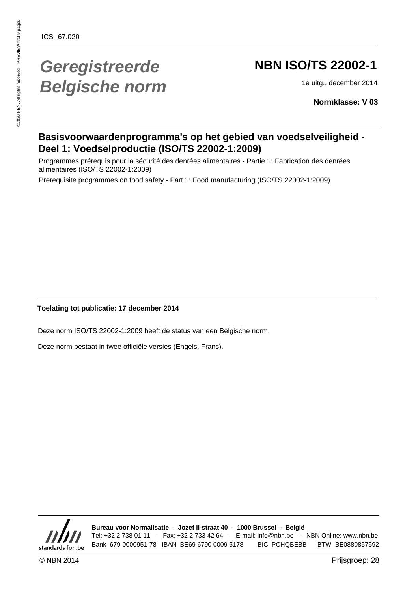# **Geregistreerde Belgische norm**

# **NBN ISO/TS 22002-1**

1e uitg., december 2014

**Normklasse: V 03**

## **Basisvoorwaardenprogramma's op het gebied van voedselveiligheid - Deel 1: Voedselproductie (ISO/TS 22002-1:2009)**

Programmes prérequis pour la sécurité des denrées alimentaires - Partie 1: Fabrication des denrées alimentaires (ISO/TS 22002-1:2009)

Prerequisite programmes on food safety - Part 1: Food manufacturing (ISO/TS 22002-1:2009)

#### **Toelating tot publicatie: 17 december 2014**

Deze norm ISO/TS 22002-1:2009 heeft de status van een Belgische norm.

Deze norm bestaat in twee officiële versies (Engels, Frans).



**Bureau voor Normalisatie - Jozef II-straat 40 - 1000 Brussel - België** Tel: +32 2 738 01 11 - Fax: +32 2 733 42 64 - E-mail: info@nbn.be - NBN Online: www.nbn.be Bank 679-0000951-78 IBAN BE69 6790 0009 5178 BIC PCHQBEBB BTW BE0880857592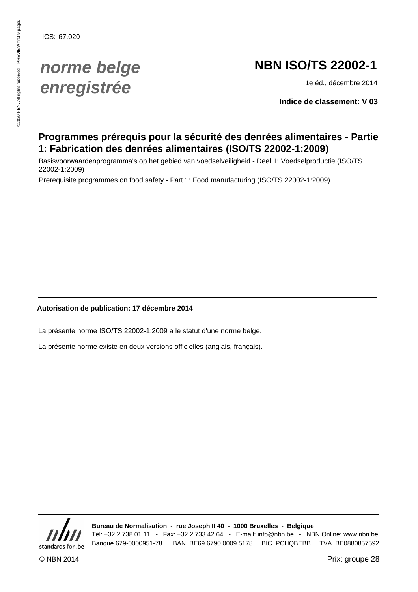# **norme belge enregistrée**

# **NBN ISO/TS 22002-1**

1e éd., décembre 2014

**Indice de classement: V 03**

## **Programmes prérequis pour la sécurité des denrées alimentaires - Partie 1: Fabrication des denrées alimentaires (ISO/TS 22002-1:2009)**

Basisvoorwaardenprogramma's op het gebied van voedselveiligheid - Deel 1: Voedselproductie (ISO/TS 22002-1:2009)

Prerequisite programmes on food safety - Part 1: Food manufacturing (ISO/TS 22002-1:2009)

#### **Autorisation de publication: 17 décembre 2014**

La présente norme ISO/TS 22002-1:2009 a le statut d'une norme belge.

La présente norme existe en deux versions officielles (anglais, français).



**Bureau de Normalisation - rue Joseph II 40 - 1000 Bruxelles - Belgique** Tél: +32 2 738 01 11 - Fax: +32 2 733 42 64 - E-mail: info@nbn.be - NBN Online: www.nbn.be Banque 679-0000951-78 IBAN BE69 6790 0009 5178 BIC PCHQBEBB TVA BE0880857592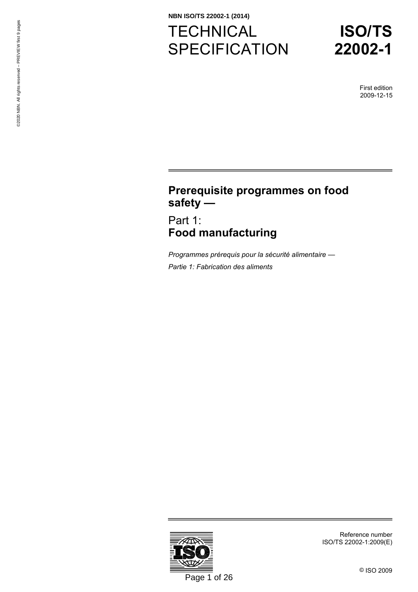# **TECHNICAL SPECIFICATION**

# **ISO/TS 22002-1**

First edition 2009-12-15

# **Prerequisite programmes on food**  safety —

Part 1: **Food manufacturing** 

*Programmes prérequis pour la sécurité alimentaire — Partie 1: Fabrication des aliments* 



Reference number ISO/TS 22002-1:2009(E)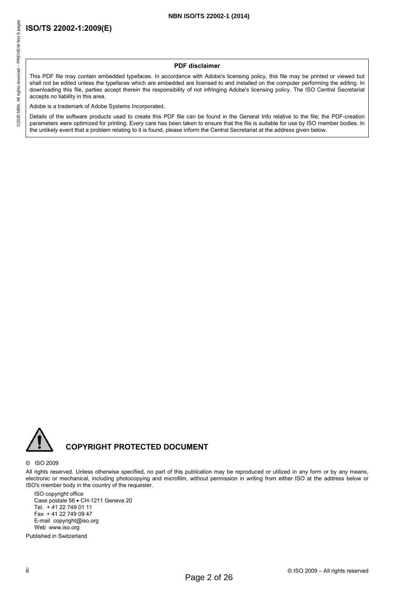## **ISO/TS 22002-1:2009(E)**

#### **PDF disclaimer**

This PDF file may contain embedded typefaces. In accordance with Adobe's licensing policy, this file may be printed or viewed but shall not be edited unless the typefaces which are embedded are licensed to and installed on the computer performing the editing. In downloading this file, parties accept therein the responsibility of not infringing Adobe's licensing policy. The ISO Central Secretariat accepts no liability in this area.

Adobe is a trademark of Adobe Systems Incorporated.

Details of the software products used to create this PDF file can be found in the General Info relative to the file; the PDF-creation parameters were optimized for printing. Every care has been taken to ensure that the file is suitable for use by ISO member bodies. In the unlikely event that a problem relating to it is found, please inform the Central Secretariat at the address given below.



### **COPYRIGHT PROTECTED DOCUMENT**

#### © ISO 2009

All rights reserved. Unless otherwise specified, no part of this publication may be reproduced or utilized in any form or by any means, electronic or mechanical, including photocopying and microfilm, without permission in writing from either ISO at the address below or ISO's member body in the country of the requester.

ISO copyright office Case postale 56 • CH-1211 Geneva 20 Tel. + 41 22 749 01 11 Fax + 41 22 749 09 47 E-mail copyright@iso.org Web www.iso.org

Published in Switzerland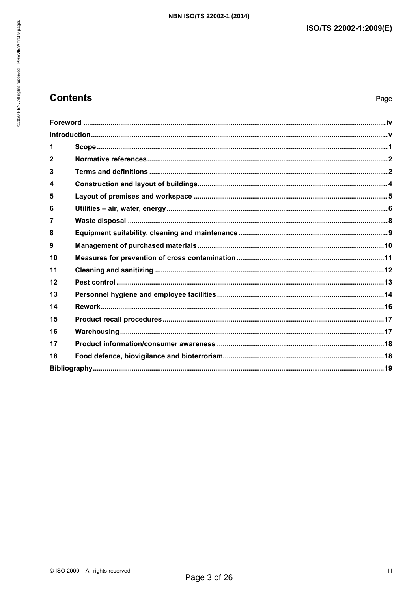## **Contents**

| 1              |  |
|----------------|--|
| 2              |  |
| 3              |  |
| 4              |  |
| 5              |  |
| 6              |  |
| $\overline{7}$ |  |
| 8              |  |
| 9              |  |
| 10             |  |
| 11             |  |
| 12             |  |
| 13             |  |
| 14             |  |
| 15             |  |
| 16             |  |
| 17             |  |
| 18             |  |
|                |  |
|                |  |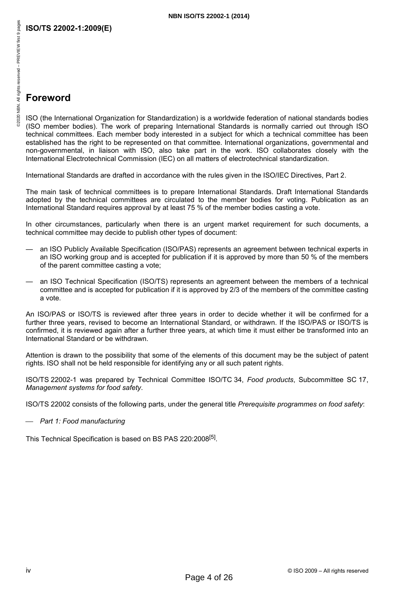# <span id="page-5-0"></span>**Foreword**

ISO (the International Organization for Standardization) is a worldwide federation of national standards bodies (ISO member bodies). The work of preparing International Standards is normally carried out through ISO technical committees. Each member body interested in a subject for which a technical committee has been established has the right to be represented on that committee. International organizations, governmental and non-governmental, in liaison with ISO, also take part in the work. ISO collaborates closely with the International Electrotechnical Commission (IEC) on all matters of electrotechnical standardization.

International Standards are drafted in accordance with the rules given in the ISO/IEC Directives, Part 2.

The main task of technical committees is to prepare International Standards. Draft International Standards adopted by the technical committees are circulated to the member bodies for voting. Publication as an International Standard requires approval by at least 75 % of the member bodies casting a vote.

In other circumstances, particularly when there is an urgent market requirement for such documents, a technical committee may decide to publish other types of document:

- an ISO Publicly Available Specification (ISO/PAS) represents an agreement between technical experts in an ISO working group and is accepted for publication if it is approved by more than 50 % of the members of the parent committee casting a vote;
- an ISO Technical Specification (ISO/TS) represents an agreement between the members of a technical committee and is accepted for publication if it is approved by 2/3 of the members of the committee casting a vote.

An ISO/PAS or ISO/TS is reviewed after three years in order to decide whether it will be confirmed for a further three years, revised to become an International Standard, or withdrawn. If the ISO/PAS or ISO/TS is confirmed, it is reviewed again after a further three years, at which time it must either be transformed into an International Standard or be withdrawn.

Attention is drawn to the possibility that some of the elements of this document may be the subject of patent rights. ISO shall not be held responsible for identifying any or all such patent rights.

ISO/TS 22002-1 was prepared by Technical Committee ISO/TC 34, *Food products*, Subcommittee SC 17, *Management systems for food safety*.

ISO/TS 22002 consists of the following parts, under the general title *Prerequisite programmes on food safety*:

⎯ *Part 1: Food manufacturing* 

This Technical Specification is based on BS PAS 220:2008[5].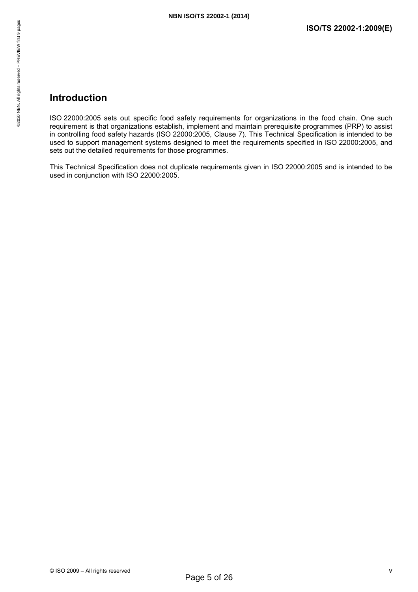# @2020 NBN. All rights reserved - PREVIEW first 9 pages ©2020 NBN. All rights reserved – PREVIEW first 9 pages

## <span id="page-6-0"></span>**Introduction**

ISO 22000:2005 sets out specific food safety requirements for organizations in the food chain. One such requirement is that organizations establish, implement and maintain prerequisite programmes (PRP) to assist in controlling food safety hazards (ISO 22000:2005, Clause 7). This Technical Specification is intended to be used to support management systems designed to meet the requirements specified in ISO 22000:2005, and sets out the detailed requirements for those programmes.

This Technical Specification does not duplicate requirements given in ISO 22000:2005 and is intended to be used in conjunction with ISO 22000:2005.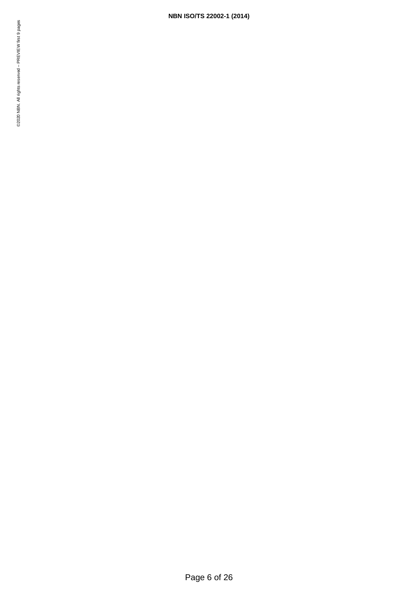@2020 NBN. All rights reserved - PREVIEW first 9 pages ©2020 NBN. All rights reserved – PREVIEW first 9 pages